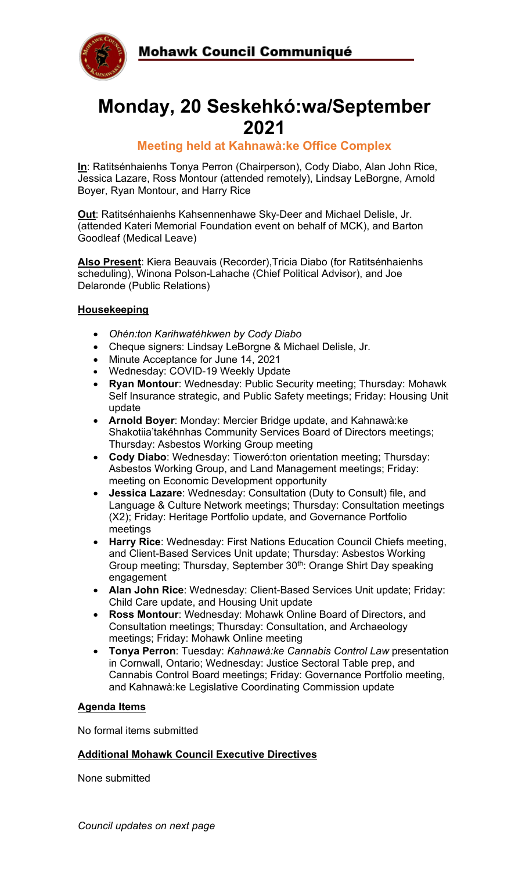



# **Monday, 20 Seskehkó:wa/September 2021**

## **Meeting held at Kahnawà:ke Office Complex**

**In**: Ratitsénhaienhs Tonya Perron (Chairperson), Cody Diabo, Alan John Rice, Jessica Lazare, Ross Montour (attended remotely), Lindsay LeBorgne, Arnold Boyer, Ryan Montour, and Harry Rice

**Out**: Ratitsénhaienhs Kahsennenhawe Sky-Deer and Michael Delisle, Jr. (attended Kateri Memorial Foundation event on behalf of MCK), and Barton Goodleaf (Medical Leave)

**Also Present**: Kiera Beauvais (Recorder),Tricia Diabo (for Ratitsénhaienhs scheduling), Winona Polson-Lahache (Chief Political Advisor), and Joe Delaronde (Public Relations)

### **Housekeeping**

- *Ohén:ton Karihwatéhkwen by Cody Diabo*
- Cheque signers: Lindsay LeBorgne & Michael Delisle, Jr.
- Minute Acceptance for June 14, 2021
- Wednesday: COVID-19 Weekly Update
- **Ryan Montour**: Wednesday: Public Security meeting; Thursday: Mohawk Self Insurance strategic, and Public Safety meetings; Friday: Housing Unit update
- **Arnold Boyer**: Monday: Mercier Bridge update, and Kahnawà:ke Shakotiia'takéhnhas Community Services Board of Directors meetings; Thursday: Asbestos Working Group meeting
- **Cody Diabo**: Wednesday: Tioweró:ton orientation meeting; Thursday: Asbestos Working Group, and Land Management meetings; Friday: meeting on Economic Development opportunity
- **Jessica Lazare**: Wednesday: Consultation (Duty to Consult) file, and Language & Culture Network meetings; Thursday: Consultation meetings (X2); Friday: Heritage Portfolio update, and Governance Portfolio meetings
- **Harry Rice**: Wednesday: First Nations Education Council Chiefs meeting, and Client-Based Services Unit update; Thursday: Asbestos Working Group meeting; Thursday, September 30<sup>th</sup>: Orange Shirt Day speaking engagement
- **Alan John Rice**: Wednesday: Client-Based Services Unit update; Friday: Child Care update, and Housing Unit update
- **Ross Montour**: Wednesday: Mohawk Online Board of Directors, and Consultation meetings; Thursday: Consultation, and Archaeology meetings; Friday: Mohawk Online meeting
- **Tonya Perron**: Tuesday: *Kahnawà:ke Cannabis Control Law* presentation in Cornwall, Ontario; Wednesday: Justice Sectoral Table prep, and Cannabis Control Board meetings; Friday: Governance Portfolio meeting, and Kahnawà:ke Legislative Coordinating Commission update

#### **Agenda Items**

No formal items submitted

#### **Additional Mohawk Council Executive Directives**

None submitted